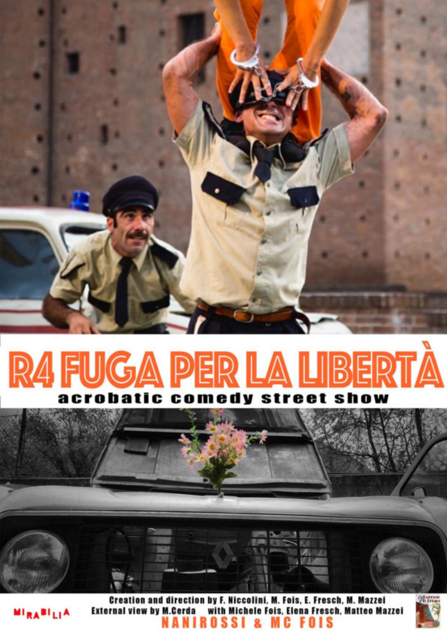

## **R4 FUGA PER LA LIBERTÀ** acrobatic comedy sti show e e t





**MIRABILIA**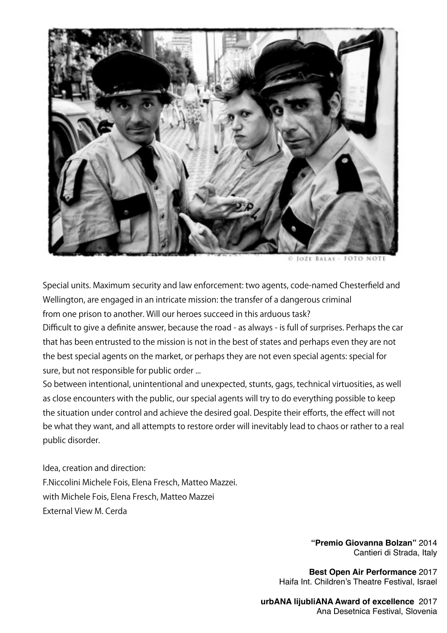

Special units. Maximum security and law enforcement: two agents, code-named Chesterfield and Wellington, are engaged in an intricate mission: the transfer of a dangerous criminal from one prison to another. Will our heroes succeed in this arduous task?

Difficult to give a definite answer, because the road - as always - is full of surprises. Perhaps the car that has been entrusted to the mission is not in the best of states and perhaps even they are not the best special agents on the market, or perhaps they are not even special agents: special for sure, but not responsible for public order ...

So between intentional, unintentional and unexpected, stunts, gags, technical virtuosities, as well as close encounters with the public, our special agents will try to do everything possible to keep the situation under control and achieve the desired goal. Despite their efforts, the effect will not be what they want, and all attempts to restore order will inevitably lead to chaos or rather to a real public disorder.

Idea, creation and direction: F.Niccolini Michele Fois, Elena Fresch, Matteo Mazzei. with Michele Fois, Elena Fresch, Matteo Mazzei External View M. Cerda

> **"Premio Giovanna Bolzan"** 2014 Cantieri di Strada, Italy

**Best Open Air Performance** 2017 Haifa Int. Children's Theatre Festival, Israel

**urbANA lijubliANA Award of excellence** 2017 Ana Desetnica Festival, Slovenia